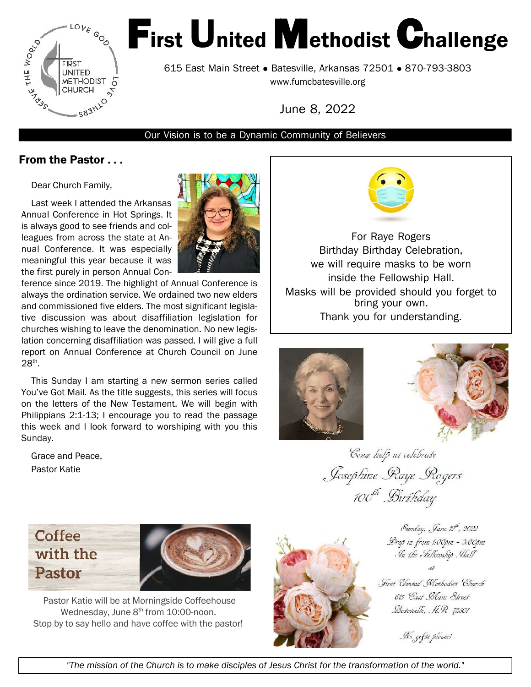

# First United Methodist Challenge

615 East Main Street • Batesville, Arkansas 72501 • 870-793-3803 www.fumcbatesville.org

June 8, [2022](www.fumcbatesville.orgJune)

#### Our Vision is to be a Dynamic Community of Believers

#### From the Pastor . . .

Dear Church Family,

Last week I attended the Arkansas Annual Conference in Hot Springs. It is always good to see friends and colleagues from across the state at Annual Conference. It was especially meaningful this year because it was the first purely in person Annual Con-



ference since 2019. The highlight of Annual Conference is always the ordination service. We ordained two new elders and commissioned five elders. The most significant legislative discussion was about disaffiliation legislation for churches wishing to leave the denomination. No new legislation concerning disaffiliation was passed. I will give a full report on Annual Conference at Church Council on June  $28^{\text{th}}$ .

This Sunday I am starting a new sermon series called You've Got Mail. As the title suggests, this series will focus on the letters of the New Testament. We will begin with Philippians 2:1-13; I encourage you to read the passage this week and I look forward to worshiping with you this Sunday.

Grace and Peace, Pastor Katie



For Raye Rogers Birthday Birthday Celebration, we will require masks to be worn inside the Fellowship Hall. Masks will be provided should you forget to bring your own. Thank you for understanding.





Come help us celebrate Josephine Raye Rogers 100<sup>th</sup> Birthday





Pastor Katie will be at Morningside Coffeehouse Wednesday, June 8<sup>th</sup> from 10:00-noon. Stop by to say hello and have coffee with the pastor!



Sunday, Jane 12, 2022 Drop in from 1:00pm - 3:00pm In the Fellowship . Hall

First Clouted Methodict Church 615 Cast Main Street Buseauthe, AR 72501

No gifts please!

"The mission of the Church is to make disciples of Jesus Christ for the transformation of the world."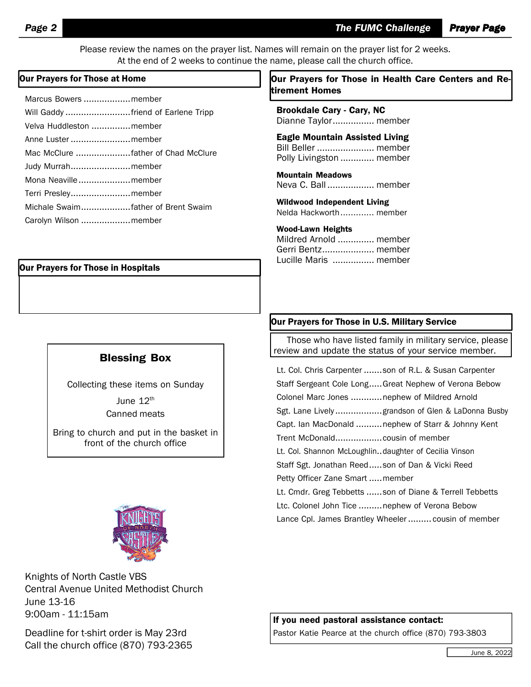Please review the names on the prayer list. Names will remain on the prayer list for 2 weeks. At the end of 2 weeks to continue the name, please call the church office.

| Marcus Bowers member               |  |
|------------------------------------|--|
| Will Gaddy friend of Earlene Tripp |  |
| Velva Huddleston member            |  |
| Anne Luster  member                |  |
|                                    |  |
| Judy Murrahmember                  |  |
| Mona Neavillemember                |  |
| Terri Presleymember                |  |
| Michale Swaimfather of Brent Swaim |  |
| Carolyn Wilson  member             |  |

#### Our Prayers for Those in Hospitals

#### Blessing Box

Collecting these items on Sunday June  $12<sup>th</sup>$ Canned meats

Bring to church and put in the basket in front of the church office



Knights of North Castle VBS Central Avenue United Methodist Church June 13-16 9:00am - 11:15am

Deadline for t-shirt order is May 23rd Call the church office (870) 793-2365

#### Our Prayers for Those at Home  $\vert$  Dur Prayers for Those in Health Care Centers and Retirement Homes

Brookdale Cary - Cary, NC Dianne Taylor................ member

Eagle Mountain Assisted Living Bill Beller ...................... member Polly Livingston ............. member

Mountain Meadows Neva C. Ball .................. member

Wildwood Independent Living Nelda Hackworth............. member

#### Wood-Lawn Heights

Mildred Arnold .............. member Gerri Bentz.................... member Lucille Maris ................ member

#### Our Prayers for Those in U.S. Military Service

Those who have listed family in military service, please review and update the status of your service member.

Lt. Col. Chris Carpenter .......son of R.L. & Susan Carpenter Staff Sergeant Cole Long.....Great Nephew of Verona Bebow Colonel Marc Jones .............nephew of Mildred Arnold Sgt. Lane Lively ..................grandson of Glen & LaDonna Busby Capt. Ian MacDonald ..........nephew of Starr & Johnny Kent Trent McDonald..................cousin of member Lt. Col. Shannon McLoughlin..daughter of Cecilia Vinson Staff Sgt. Jonathan Reed.....son of Dan & Vicki Reed Petty Officer Zane Smart .....member Lt. Cmdr. Greg Tebbetts ......son of Diane & Terrell Tebbetts Ltc. Colonel John Tice .........nephew of Verona Bebow Lance Cpl. James Brantley Wheeler ......... cousin of member

If you need pastoral assistance contact:

Pastor Katie Pearce at the church office (870) 793-3803

June 8, 2022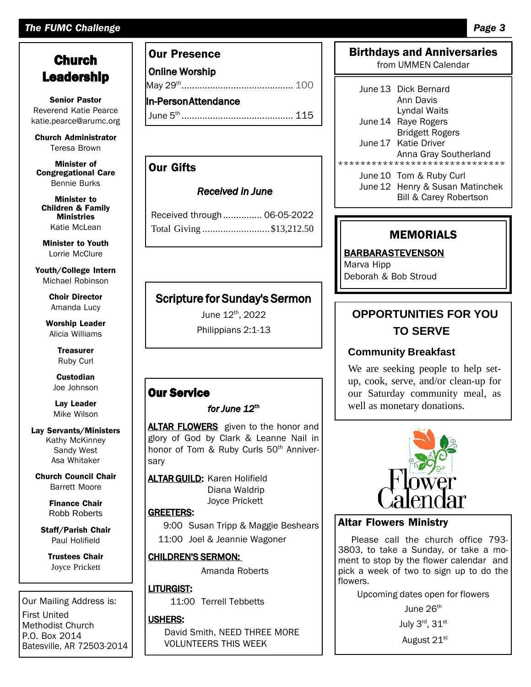#### *The FUMC Challenge Page 3*

# **Church** Leadership

Senior Pastor Reverend Katie Pearce katie.pearce@arumc.org

Church [Administrator](mailto:pearce@arumc.orgChurch) Teresa Brown

Minister of Congregational Care Bennie Burks

Minister to Children & Family Ministries Katie McLean

Minister to Youth Lorrie McClure

Youth/College Intern Michael Robinson

> Choir Director Amanda Lucy

Worship Leader Alicia Williams

> **Treasurer** Ruby Curl

**Custodian** Joe Johnson

Lay Leader Mike Wilson

Lay Servants/Ministers Kathy McKinney Sandy West Asa Whitaker

Church Council Chair Barrett Moore

> Finance Chair Robb Roberts

Staff/Parish Chair Paul Holifield

Trustees Chair Joyce Prickett

Our Mailing Address is: First United Methodist Church P.O. Box 2014 Batesville, AR 72503-2014

#### Our Presence

Online Worship May 29th ........................................... 100 In-PersonAttendance

June 5 th ........................................... 115

#### Our Gifts

#### *Received in June*

Received through ............... 06-05-2022 Total Giving ..........................\$13,212.50

# Scripture for Sunday's Sermon

June 12th , 2022 Philippians 2:1-13

### Our Service

#### *for June 12*th

ALTAR FLOWERS given to the honor and glory of God by Clark & Leanne Nail in honor of Tom & Ruby Curls 50<sup>th</sup> Anniversary

**ALTAR GUILD: Karen Holifield** Diana Waldrip Joyce Prickett

GREETERS:

9:00 Susan Tripp & Maggie Beshears 11:00 Joel & Jeannie Wagoner

#### CHILDREN'S SERMON:

Amanda Roberts

#### LITURGIST:

11:00 Terrell Tebbetts

#### USHERS:

David Smith, NEED THREE MORE VOLUNTEERS THIS WEEK

#### Birthdays and Anniversaries from UMMEN Calendar

June13 Dick Bernard Ann Davis Lyndal Waits June14 Raye Rogers Bridgett Rogers June17 Katie Driver

Anna Gray Southerland \*\*\*\*\*\*\*\*\*\*\*\*\*\*\*\*\*\*\*\*\*\*\*\*\*\*\*\*\*\*

> June10 Tom & Ruby Curl June12 Henry & Susan Matinchek

Bill & Carey Robertson

#### MEMORIALS

BARBARASTEVENSON

Marva Hipp Deborah & Bob Stroud

# **OPPORTUNITIES FOR YOU TO SERVE**

#### **Community Breakfast**

We are seeking people to help setup, cook, serve, and/or clean-up for our Saturday community meal, as well as monetary donations.



#### Altar Flowers Ministry

Please call the church office 793-3803, to take a Sunday, or take a moment to stop by the flower calendar and pick a week of two to sign up to do the flowers.

Upcoming dates open for flowers

June 26<sup>th</sup> July 3 $^{\sf rd}$ , 31 $^{\sf st}$ 

August 21st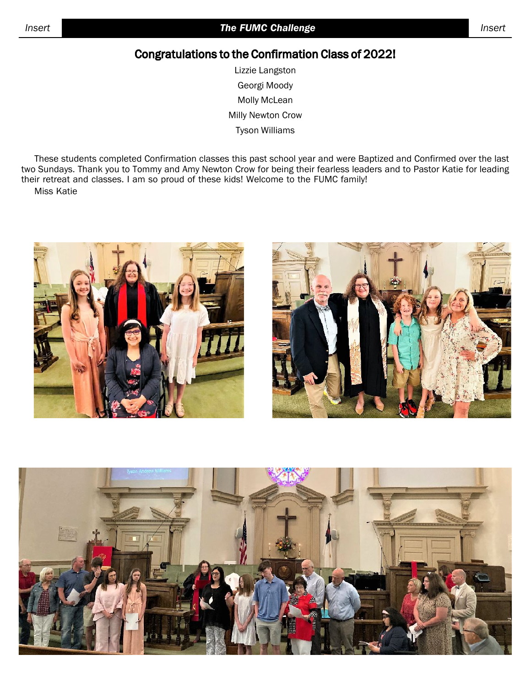# Congratulations to the Confirmation Class of 2022!

Lizzie Langston Georgi Moody Molly McLean Milly Newton Crow Tyson Williams

These students completed Confirmation classes this past school year and were Baptized and Confirmed over the last two Sundays. Thank you to Tommy and Amy Newton Crow for being their fearless leaders and to Pastor Katie for leading their retreat and classes. I am so proud of these kids! Welcome to the FUMC family! Miss Katie